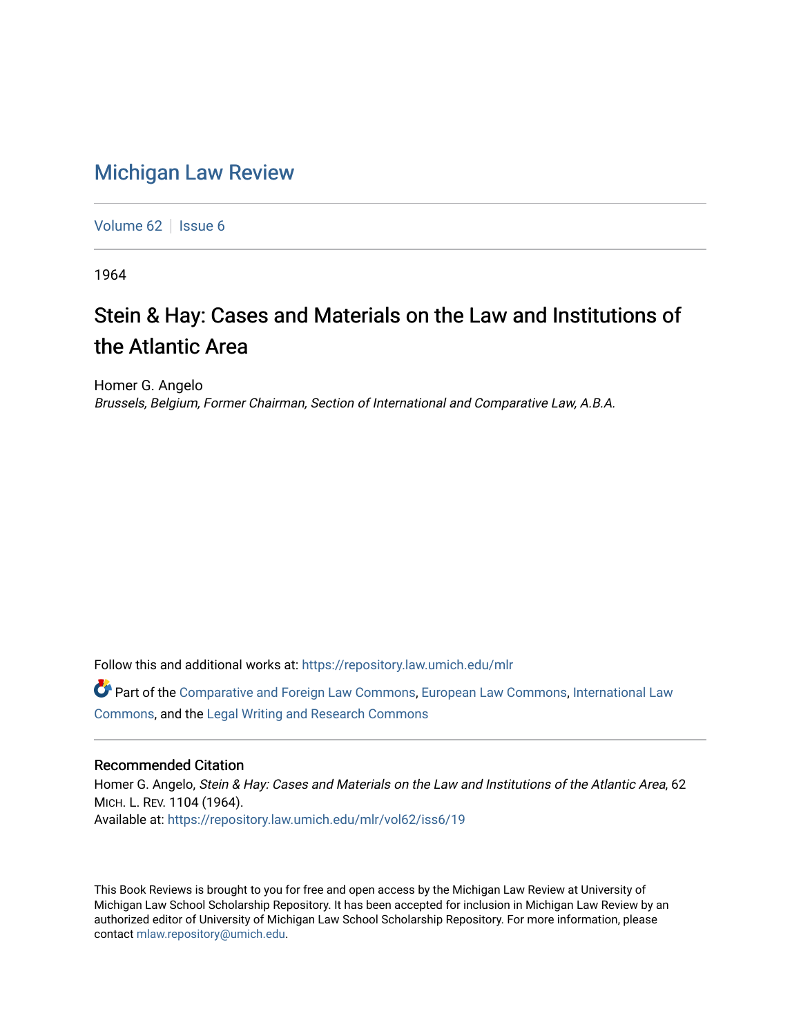## [Michigan Law Review](https://repository.law.umich.edu/mlr)

[Volume 62](https://repository.law.umich.edu/mlr/vol62) | [Issue 6](https://repository.law.umich.edu/mlr/vol62/iss6)

1964

## Stein & Hay: Cases and Materials on the Law and Institutions of the Atlantic Area

Homer G. Angelo Brussels, Belgium, Former Chairman, Section of International and Comparative Law, A.B.A.

Follow this and additional works at: [https://repository.law.umich.edu/mlr](https://repository.law.umich.edu/mlr?utm_source=repository.law.umich.edu%2Fmlr%2Fvol62%2Fiss6%2F19&utm_medium=PDF&utm_campaign=PDFCoverPages) 

Part of the [Comparative and Foreign Law Commons,](http://network.bepress.com/hgg/discipline/836?utm_source=repository.law.umich.edu%2Fmlr%2Fvol62%2Fiss6%2F19&utm_medium=PDF&utm_campaign=PDFCoverPages) [European Law Commons,](http://network.bepress.com/hgg/discipline/1084?utm_source=repository.law.umich.edu%2Fmlr%2Fvol62%2Fiss6%2F19&utm_medium=PDF&utm_campaign=PDFCoverPages) [International Law](http://network.bepress.com/hgg/discipline/609?utm_source=repository.law.umich.edu%2Fmlr%2Fvol62%2Fiss6%2F19&utm_medium=PDF&utm_campaign=PDFCoverPages)  [Commons](http://network.bepress.com/hgg/discipline/609?utm_source=repository.law.umich.edu%2Fmlr%2Fvol62%2Fiss6%2F19&utm_medium=PDF&utm_campaign=PDFCoverPages), and the [Legal Writing and Research Commons](http://network.bepress.com/hgg/discipline/614?utm_source=repository.law.umich.edu%2Fmlr%2Fvol62%2Fiss6%2F19&utm_medium=PDF&utm_campaign=PDFCoverPages) 

## Recommended Citation

Homer G. Angelo, Stein & Hay: Cases and Materials on the Law and Institutions of the Atlantic Area, 62 MICH. L. REV. 1104 (1964). Available at: [https://repository.law.umich.edu/mlr/vol62/iss6/19](https://repository.law.umich.edu/mlr/vol62/iss6/19?utm_source=repository.law.umich.edu%2Fmlr%2Fvol62%2Fiss6%2F19&utm_medium=PDF&utm_campaign=PDFCoverPages) 

This Book Reviews is brought to you for free and open access by the Michigan Law Review at University of Michigan Law School Scholarship Repository. It has been accepted for inclusion in Michigan Law Review by an authorized editor of University of Michigan Law School Scholarship Repository. For more information, please contact [mlaw.repository@umich.edu](mailto:mlaw.repository@umich.edu).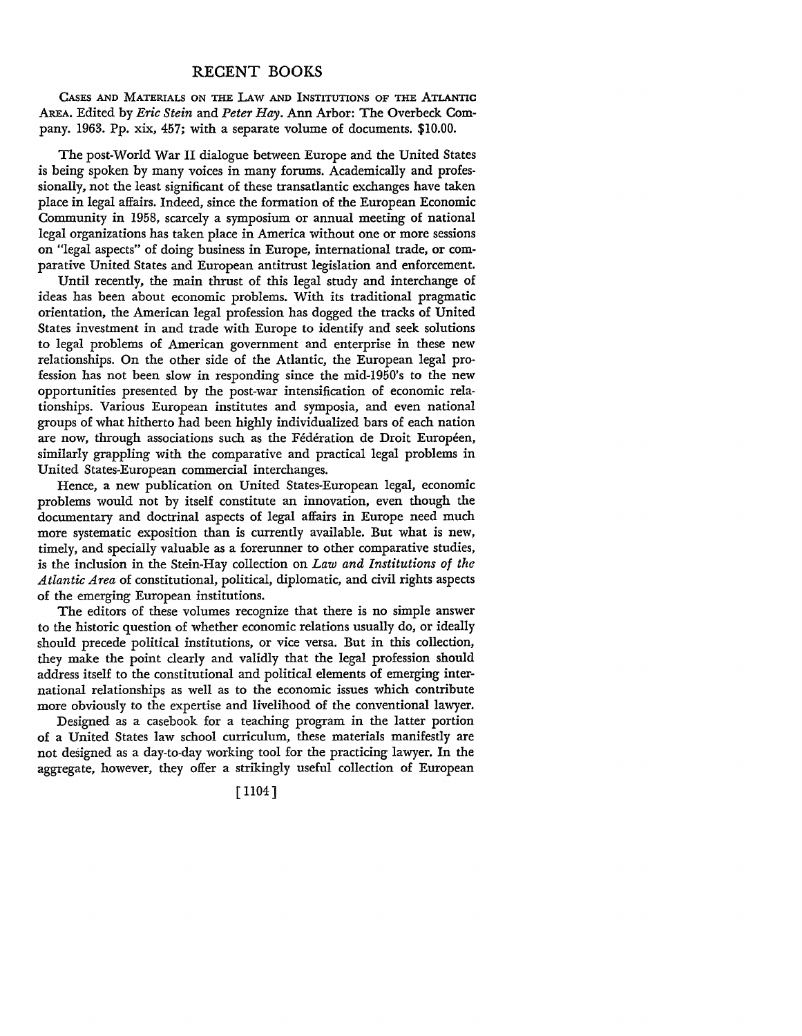## RECENT BOOKS

CASES AND MATERIALS ON THE LAW AND INSTITUTIONS OF THE ATLANTIC AREA. Edited by *Eric Stein* and *Peter Hay.* Ann Arbor: The Overbeck Company. 1963. Pp. xix, 457; with a separate volume of documents. \$10.00.

The post-World War II dialogue between Europe and the United States is being spoken by many voices in many forums. Academically and professionally, not the least significant of these transatlantic exchanges have taken place in legal affairs. Indeed, since the formation of the European Economic Community in 1958, scarcely a symposium or annual meeting of national legal organizations has taken place in America without one or more sessions on "legal aspects" of doing business in Europe, international trade, or comparative United States and European antitrust legislation and enforcement.

Until recently, the main thrust of this legal study and interchange of ideas has been about economic problems. With its traditional pragmatic orientation, the American legal profession has dogged the tracks of United States investment in and trade with Europe to identify and seek solutions to legal problems of American government and enterprise in these new relationships. On the other side of the Atlantic, the European legal profession has not been slow in responding since the mid-1950's to the new opportunities presented by the post-war intensification of economic relationships. Various European institutes and symposia, and even national groups of what hitherto had been highly individualized bars of each nation are now, through associations such as the Fédération de Droit Européen, similarly grappling with the comparative and practical legal problems in United States-European commercial interchanges.

Hence, a new publication on United States-European legal, economic problems would not by itself constitute an innovation, even though the documentary and doctrinal aspects of legal affairs in Europe need much more systematic exposition than is currently available. But what is new, timely, and specially valuable as a forerunner to other comparative studies, is the inclusion in the Stein-Hay collection on *Law and Institutions of the Atlantic Area* of constitutional, political, diplomatic, and civil rights aspects of the emerging European institutions.

The editors of these volumes recognize that there is no simple answer to the historic question of whether economic relations usually do, or ideally should precede political institutions, or vice versa. But in this collection, they make the point clearly and validly that the legal profession should address itself to the constitutional and political elements of emerging international relationships as well as to the economic issues which contribute more obviously to the expertise and livelihood of the conventional lawyer.

Designed as a casebook for a teaching program in the latter portion of a United States law school curriculum, these materials manifestly are not designed as a day-to-day working tool for the practicing lawyer. In the aggregate, however, they offer a strikingly useful collection of European

[ 1104]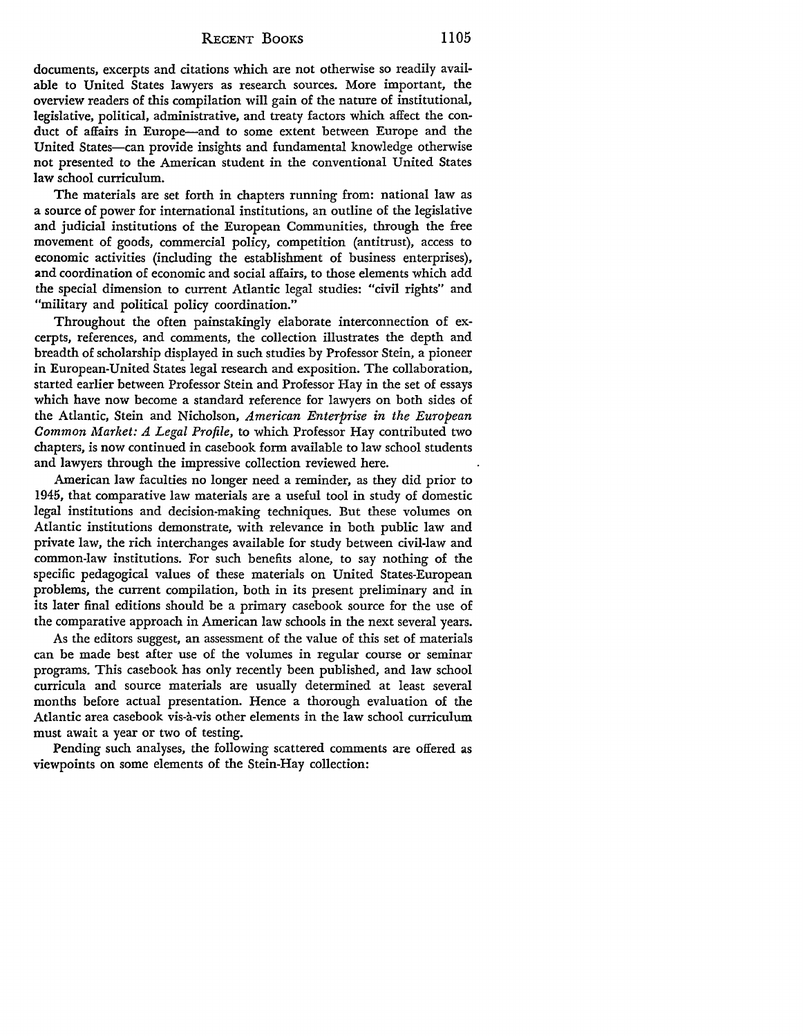documents, excerpts and citations which are not otherwise so readily available to United States lawyers as research sources. More important, the overview readers of this compilation will gain of the nature of institutional, legislative, political, administrative, and treaty factors which affect the conduct of affairs in Europe-and to some extent between Europe and the United States-can provide insights and fundamental knowledge otherwise not presented to the American student in the conventional United States law school curriculum.

The materials are set forth in chapters running from: national law as a source of power for international institutions, an outline of the legislative and judicial institutions of the European Communities, through the free movement of goods, commercial policy, competition (antitrust), access to economic activities (including the establishment of business enterprises), **and** coordination of economic and social affairs, to those elements which add the special dimension to current Atlantic legal studies: "civil rights" and "military and political policy coordination."

Throughout the often painstakingly elaborate interconnection of excerpts, references, and comments, the collection illustrates the depth and breadth of scholarship displayed in such studies by Professor Stein, a pioneer in European-United States legal research and exposition. The collaboration, started earlier between Professor Stein and Professor Hay in the set of essays which have now become a standard reference for lawyers on both sides of the Atlantic, Stein and Nicholson, *American Enterprise in the European Common Market: A Legal Profile,* to which Professor Hay contributed two chapters, is now continued in casebook form available to law school students and lawyers through the impressive collection reviewed here.

American law faculties no longer need a reminder, as they did prior to 1945, that comparative law materials are a useful tool in study of domestic legal institutions and decision-making techniques. But these volumes on Atlantic institutions demonstrate, with relevance in both public law and private law, the rich interchanges available for study between civil-law and common-law institutions. For such benefits alone, to say nothing of the specific pedagogical values of these materials on United States-European problems, the current compilation, both in its present preliminary and in its later final editions should be a primary casebook source for the use of the comparative approach in American law schools in the next several years.

As the editors suggest, an assessment of the value of this set of materials can be made best after use of the volumes in regular course or seminar programs. This casebook has only recently been published, and law school curricula and source materials are usually determined at least several months before actual presentation. Hence a thorough evaluation of the Atlantic area casebook vis-à-vis other elements in the law school curriculum must await a year or two of testing.

Pending such analyses, the following scattered comments are offered as viewpoints on some elements of the Stein-Hay collection: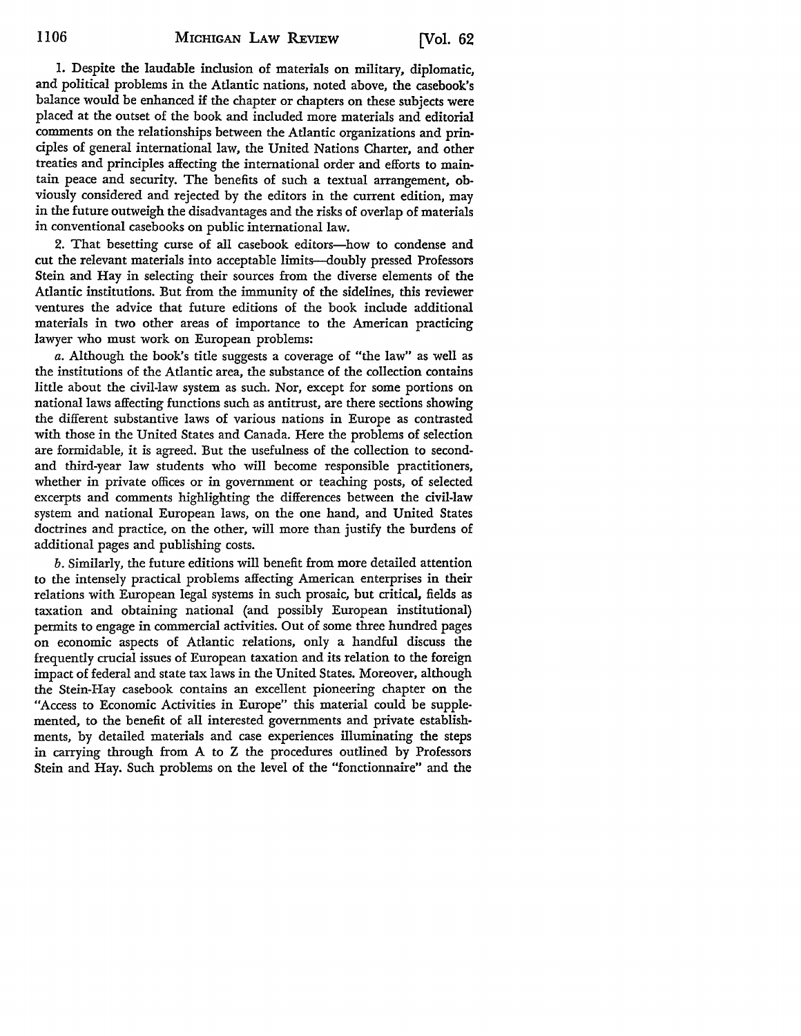I. Despite the laudable inclusion of materials on military, diplomatic, and political problems in the Atlantic nations, noted above, the casebook's balance would be enhanced if the chapter or chapters on these subjects were placed at the outset of the book and included more materials and editorial comments on the relationships between the Atlantic organizations and principles of general international law, the United Nations Charter, and other treaties and principles affecting the international order and efforts to maintain peace and security. The benefits of such a textual arrangement, obviously considered and rejected by the editors in the current edition, may in the future outweigh the disadvantages and the risks of overlap of materials in conventional casebooks on public international law.

2. That besetting curse of all casebook editors-how to condense and cut the relevant materials into acceptable limits-doubly pressed Professors Stein and Hay in selecting their sources from the diverse elements of the Atlantic institutions. But from the immunity of the sidelines, this reviewer ventures the advice that future editions of the book include additional materials in two other areas of importance to the American practicing lawyer who must work on European problems:

*a.* Although the book's title suggests a coverage of "the law" as well as the institutions of the Atlantic area, the substance of the collection contains little about the civil-law system as such. Nor, except for some portions on national laws affecting functions such as antitrust, are there sections showing the different substantive laws of various nations in Europe as contrasted with those in the United States and Canada. Here the problems of selection are formidable, it is agreed. But the usefulness of the collection to secondand third-year law students who will become responsible practitioners, whether in private offices or in government or teaching posts, of selected excerpts and comments highlighting the differences between the civil-law system and national European laws, on the one hand, and United States doctrines and practice, on the other, will more than justify the burdens of additional pages and publishing costs.

*b.* Similarly, the future editions will benefit from more detailed attention to the intensely practical problems affecting American enterprises in their relations with European legal systems in such prosaic, but critical, fields as taxation and obtaining national (and possibly European institutional) permits to engage in commercial activities. Out of some three hundred pages on economic aspects of Atlantic relations, only a handful discuss the frequently crucial issues of European taxation and its relation to the foreign impact of federal and state tax laws in the United States. Moreover, although the Stein-Hay casebook contains an excellent pioneering chapter on the "Access to Economic Activities in Europe" this material could be supplemented, to the benefit of all interested governments and private establishments, by detailed materials and case experiences illuminating the steps in carrying through from A to Z the procedures outlined by Professors Stein and Hay. Such problems on the level of the "fonctionnaire" and the